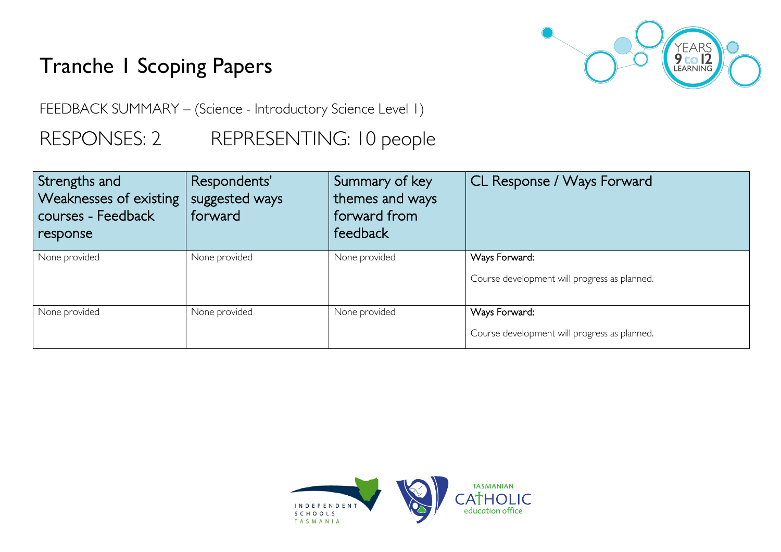# Tranche 1 Scoping Papers



FEEDBACK SUMMARY – (Science - Introductory Science Level 1)

## RESPONSES: 2 REPRESENTING: 10 people

| Strengths and<br>Weaknesses of existing<br>courses - Feedback<br>response | Respondents'<br>suggested ways<br>forward | Summary of key<br>themes and ways<br>forward from<br>feedback | CL Response / Ways Forward                                    |
|---------------------------------------------------------------------------|-------------------------------------------|---------------------------------------------------------------|---------------------------------------------------------------|
| None provided                                                             | None provided                             | None provided                                                 | Ways Forward:<br>Course development will progress as planned. |
| None provided                                                             | None provided                             | None provided                                                 | Ways Forward:<br>Course development will progress as planned. |

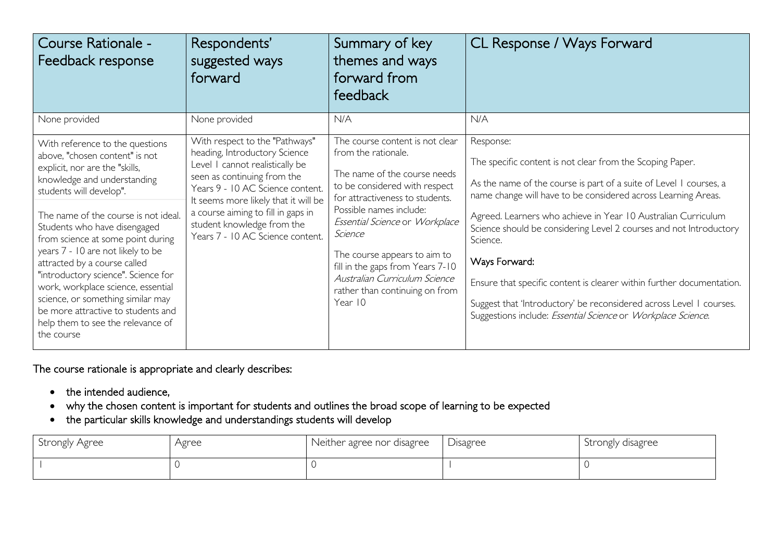| Course Rationale -<br>Feedback response                                                                                                                                                                                                                                                                                                                                                                                                                                                                                                                    | Respondents'<br>suggested ways<br>forward                                                                                                                                                                                                                                                                             | Summary of key<br>themes and ways<br>forward from<br>feedback                                                                                                                                                                                                                                                                                                                        | CL Response / Ways Forward                                                                                                                                                                                                                                                                                                                                                                                                                                                                                                                                                                        |
|------------------------------------------------------------------------------------------------------------------------------------------------------------------------------------------------------------------------------------------------------------------------------------------------------------------------------------------------------------------------------------------------------------------------------------------------------------------------------------------------------------------------------------------------------------|-----------------------------------------------------------------------------------------------------------------------------------------------------------------------------------------------------------------------------------------------------------------------------------------------------------------------|--------------------------------------------------------------------------------------------------------------------------------------------------------------------------------------------------------------------------------------------------------------------------------------------------------------------------------------------------------------------------------------|---------------------------------------------------------------------------------------------------------------------------------------------------------------------------------------------------------------------------------------------------------------------------------------------------------------------------------------------------------------------------------------------------------------------------------------------------------------------------------------------------------------------------------------------------------------------------------------------------|
| None provided                                                                                                                                                                                                                                                                                                                                                                                                                                                                                                                                              | None provided                                                                                                                                                                                                                                                                                                         | N/A                                                                                                                                                                                                                                                                                                                                                                                  | N/A                                                                                                                                                                                                                                                                                                                                                                                                                                                                                                                                                                                               |
| With reference to the questions<br>above, "chosen content" is not<br>explicit, nor are the "skills,<br>knowledge and understanding<br>students will develop".<br>The name of the course is not ideal.<br>Students who have disengaged<br>from science at some point during<br>years 7 - 10 are not likely to be<br>attracted by a course called<br>"introductory science". Science for<br>work, workplace science, essential<br>science, or something similar may<br>be more attractive to students and<br>help them to see the relevance of<br>the course | With respect to the "Pathways"<br>heading, Introductory Science<br>Level I cannot realistically be<br>seen as continuing from the<br>Years 9 - 10 AC Science content.<br>It seems more likely that it will be<br>a course aiming to fill in gaps in<br>student knowledge from the<br>Years 7 - 10 AC Science content. | The course content is not clear<br>from the rationale.<br>The name of the course needs<br>to be considered with respect<br>for attractiveness to students.<br>Possible names include:<br>Essential Science or Workplace<br>Science<br>The course appears to aim to<br>fill in the gaps from Years 7-10<br>Australian Curriculum Science<br>rather than continuing on from<br>Year 10 | Response:<br>The specific content is not clear from the Scoping Paper.<br>As the name of the course is part of a suite of Level I courses, a<br>name change will have to be considered across Learning Areas.<br>Agreed. Learners who achieve in Year 10 Australian Curriculum<br>Science should be considering Level 2 courses and not Introductory<br>Science.<br>Ways Forward:<br>Ensure that specific content is clearer within further documentation.<br>Suggest that 'Introductory' be reconsidered across Level I courses.<br>Suggestions include: Essential Science or Workplace Science. |

### The course rationale is appropriate and clearly describes:

- the intended audience,
- why the chosen content is important for students and outlines the broad scope of learning to be expected
- the particular skills knowledge and understandings students will develop

| Strongly Agree | Agree | Neither agree nor disagree | <b>D</b> isagree | Strongly disagree |
|----------------|-------|----------------------------|------------------|-------------------|
|                |       |                            |                  |                   |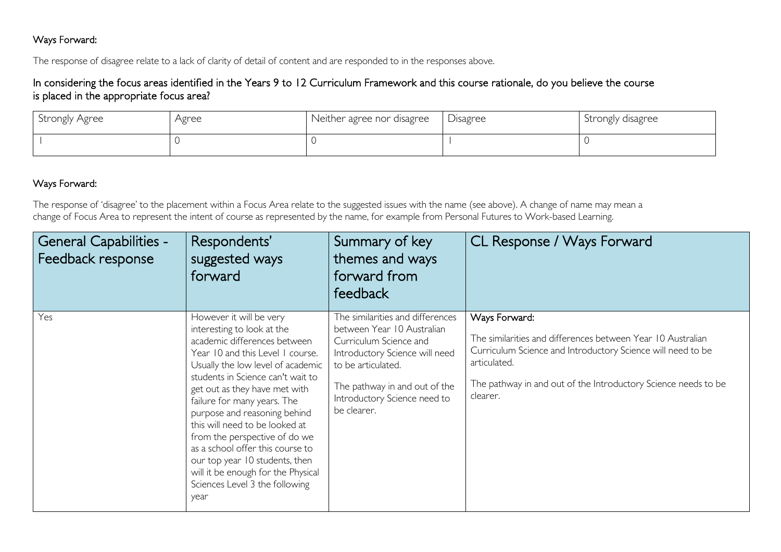#### Ways Forward:

The response of disagree relate to a lack of clarity of detail of content and are responded to in the responses above.

#### In considering the focus areas identified in the Years 9 to 12 Curriculum Framework and this course rationale, do you believe the course is placed in the appropriate focus area?

| Strongly Agree | Agree | Neither agree nor disagree | Disagree | Strongly disagree |
|----------------|-------|----------------------------|----------|-------------------|
|                |       |                            |          |                   |

#### Ways Forward:

The response of 'disagree' to the placement within a Focus Area relate to the suggested issues with the name (see above). A change of name may mean a change of Focus Area to represent the intent of course as represented by the name, for example from Personal Futures to Work-based Learning.

| <b>General Capabilities -</b><br>Feedback response | Respondents'<br>suggested ways<br>forward                                                                                                                                                                                                                                                                                                                                                                                                                                                                                    | Summary of key<br>themes and ways<br>forward from<br>feedback                                                                                                                                                                    | CL Response / Ways Forward                                                                                                                                                                                                                |
|----------------------------------------------------|------------------------------------------------------------------------------------------------------------------------------------------------------------------------------------------------------------------------------------------------------------------------------------------------------------------------------------------------------------------------------------------------------------------------------------------------------------------------------------------------------------------------------|----------------------------------------------------------------------------------------------------------------------------------------------------------------------------------------------------------------------------------|-------------------------------------------------------------------------------------------------------------------------------------------------------------------------------------------------------------------------------------------|
| Yes                                                | However it will be very<br>interesting to look at the<br>academic differences between<br>Year 10 and this Level 1 course.<br>Usually the low level of academic<br>students in Science can't wait to<br>get out as they have met with<br>failure for many years. The<br>purpose and reasoning behind<br>this will need to be looked at<br>from the perspective of do we<br>as a school offer this course to<br>our top year 10 students, then<br>will it be enough for the Physical<br>Sciences Level 3 the following<br>year | The similarities and differences<br>between Year 10 Australian<br>Curriculum Science and<br>Introductory Science will need<br>to be articulated.<br>The pathway in and out of the<br>Introductory Science need to<br>be clearer. | Ways Forward:<br>The similarities and differences between Year 10 Australian<br>Curriculum Science and Introductory Science will need to be<br>articulated.<br>The pathway in and out of the Introductory Science needs to be<br>clearer. |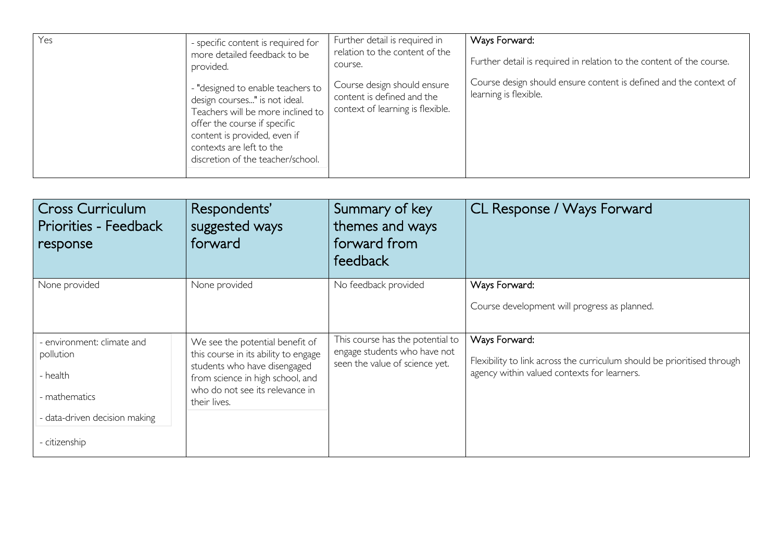| Yes | - specific content is required for<br>more detailed feedback to be<br>provided.                                                                                                                                                          | Further detail is required in<br>relation to the content of the<br>course.                    | Ways Forward:<br>Further detail is required in relation to the content of the course.      |
|-----|------------------------------------------------------------------------------------------------------------------------------------------------------------------------------------------------------------------------------------------|-----------------------------------------------------------------------------------------------|--------------------------------------------------------------------------------------------|
|     | - "designed to enable teachers to<br>design courses" is not ideal.<br>Teachers will be more inclined to<br>offer the course if specific<br>content is provided, even if<br>contexts are left to the<br>discretion of the teacher/school. | Course design should ensure<br>content is defined and the<br>context of learning is flexible. | Course design should ensure content is defined and the context of<br>learning is flexible. |

| <b>Cross Curriculum</b><br><b>Priorities - Feedback</b><br>response                                                    | Respondents'<br>suggested ways<br>forward                                                                                                                                                      | Summary of key<br>themes and ways<br>forward from<br>feedback                                      | CL Response / Ways Forward                                                                                                              |
|------------------------------------------------------------------------------------------------------------------------|------------------------------------------------------------------------------------------------------------------------------------------------------------------------------------------------|----------------------------------------------------------------------------------------------------|-----------------------------------------------------------------------------------------------------------------------------------------|
| None provided                                                                                                          | None provided                                                                                                                                                                                  | No feedback provided                                                                               | Ways Forward:<br>Course development will progress as planned.                                                                           |
| - environment: climate and<br>pollution<br>- health<br>- mathematics<br>- data-driven decision making<br>- citizenship | We see the potential benefit of<br>this course in its ability to engage<br>students who have disengaged<br>from science in high school, and<br>who do not see its relevance in<br>their lives. | This course has the potential to<br>engage students who have not<br>seen the value of science yet. | Ways Forward:<br>Flexibility to link across the curriculum should be prioritised through<br>agency within valued contexts for learners. |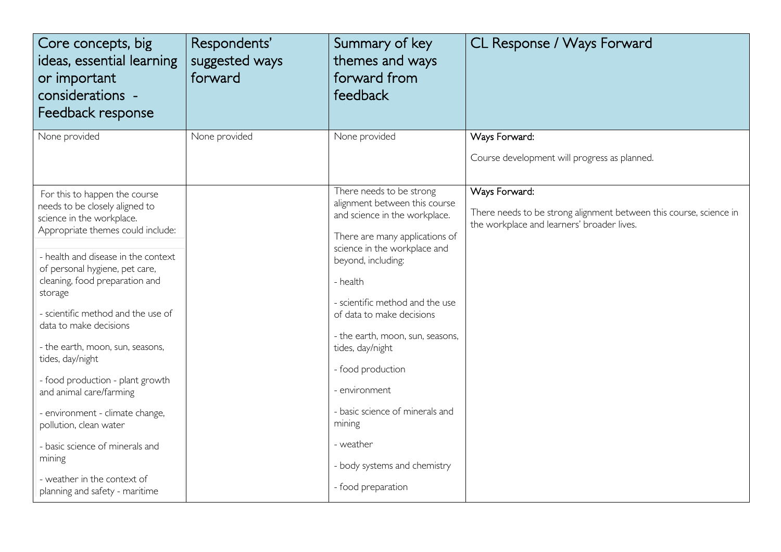| Core concepts, big<br>ideas, essential learning<br>or important<br>considerations -<br>Feedback response                                                                                                                                                                                                                                                                                                                                                                                                                                                                                | Respondents'<br>suggested ways<br>forward | Summary of key<br>themes and ways<br>forward from<br>feedback                                                                                                                                                                                                                                                                                                                                                                                          | CL Response / Ways Forward                                                                                                        |
|-----------------------------------------------------------------------------------------------------------------------------------------------------------------------------------------------------------------------------------------------------------------------------------------------------------------------------------------------------------------------------------------------------------------------------------------------------------------------------------------------------------------------------------------------------------------------------------------|-------------------------------------------|--------------------------------------------------------------------------------------------------------------------------------------------------------------------------------------------------------------------------------------------------------------------------------------------------------------------------------------------------------------------------------------------------------------------------------------------------------|-----------------------------------------------------------------------------------------------------------------------------------|
| None provided                                                                                                                                                                                                                                                                                                                                                                                                                                                                                                                                                                           | None provided                             | None provided                                                                                                                                                                                                                                                                                                                                                                                                                                          | Ways Forward:<br>Course development will progress as planned.                                                                     |
| For this to happen the course<br>needs to be closely aligned to<br>science in the workplace.<br>Appropriate themes could include:<br>- health and disease in the context<br>of personal hygiene, pet care,<br>cleaning, food preparation and<br>storage<br>- scientific method and the use of<br>data to make decisions<br>- the earth, moon, sun, seasons,<br>tides, day/night<br>- food production - plant growth<br>and animal care/farming<br>- environment - climate change,<br>pollution, clean water<br>- basic science of minerals and<br>mining<br>- weather in the context of |                                           | There needs to be strong<br>alignment between this course<br>and science in the workplace.<br>There are many applications of<br>science in the workplace and<br>beyond, including:<br>- health<br>- scientific method and the use<br>of data to make decisions<br>- the earth, moon, sun, seasons,<br>tides, day/night<br>- food production<br>- environment<br>- basic science of minerals and<br>mining<br>- weather<br>- body systems and chemistry | Ways Forward:<br>There needs to be strong alignment between this course, science in<br>the workplace and learners' broader lives. |
| planning and safety - maritime                                                                                                                                                                                                                                                                                                                                                                                                                                                                                                                                                          |                                           | - food preparation                                                                                                                                                                                                                                                                                                                                                                                                                                     |                                                                                                                                   |